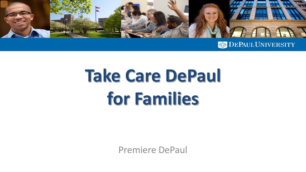

**SEPAUL UNIVERSITY** 

# **Take Care DePaul for Families**

Premiere DePaul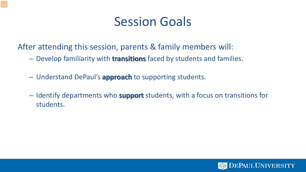#### Session Goals

After attending this session, parents & family members will:

- Develop familiarity with **transitions** faced by students and families.
- Understand DePaul's **approach** to supporting students.
- Identify departments who **support** students, with a focus on transitions for students.

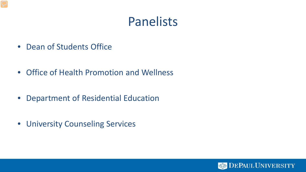### Panelists

- Dean of Students Office
- Office of Health Promotion and Wellness
- Department of Residential Education
- University Counseling Services

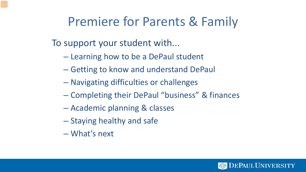#### Premiere for Parents & Family

To support your student with...

- Learning how to be a DePaul student
- Getting to know and understand DePaul
- Navigating difficulties or challenges
- Completing their DePaul "business" & finances
- Academic planning & classes
- Staying healthy and safe
- What's next

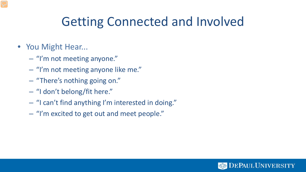# Getting Connected and Involved

- You Might Hear...
	- "I'm not meeting anyone."
	- "I'm not meeting anyone like me."
	- "There's nothing going on."
	- "I don't belong/fit here."
	- "I can't find anything I'm interested in doing."
	- "I'm excited to get out and meet people."

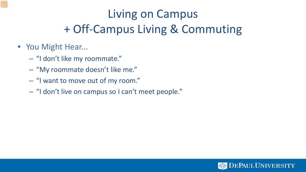## Living on Campus + Off-Campus Living & Commuting

- You Might Hear...
	- "I don't like my roommate."
	- "My roommate doesn't like me."
	- "I want to move out of my room."
	- "I don't live on campus so I can't meet people."

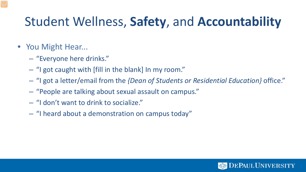# Student Wellness, **Safety**, and **Accountability**

- You Might Hear...
	- "Everyone here drinks."
	- "I got caught with [fill in the blank] In my room."
	- "I got a letter/email from the *{Dean of Students or Residential Education}* office."
	- "People are talking about sexual assault on campus."
	- "I don't want to drink to socialize."
	- "I heard about a demonstration on campus today"

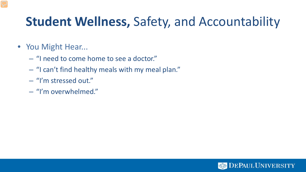# **Student Wellness,** Safety, and Accountability

- You Might Hear...
	- "I need to come home to see a doctor."
	- "I can't find healthy meals with my meal plan."
	- "I'm stressed out."
	- "I'm overwhelmed."

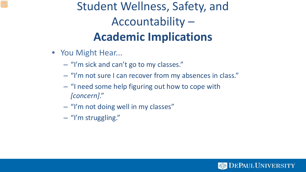## Student Wellness, Safety, and Accountability – **Academic Implications**

- You Might Hear...
	- "I'm sick and can't go to my classes."
	- "I'm not sure I can recover from my absences in class."
	- "I need some help figuring out how to cope with *[concern]*."
	- "I'm not doing well in my classes"
	- "I'm struggling."

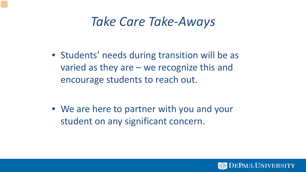#### *Take Care Take-Aways*

• Students' needs during transition will be as varied as they are – we recognize this and encourage students to reach out.

• We are here to partner with you and your student on any significant concern.